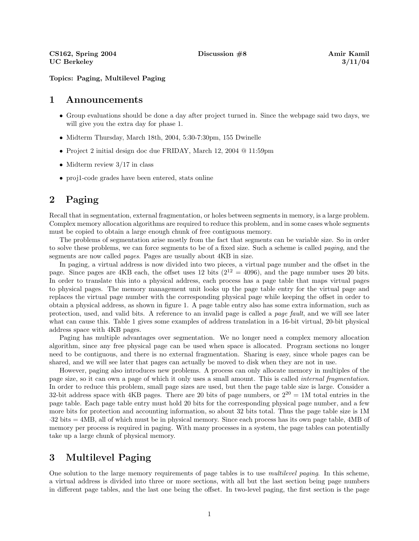Topics: Paging, Multilevel Paging

## 1 Announcements

- Group evaluations should be done a day after project turned in. Since the webpage said two days, we will give you the extra day for phase 1.
- Midterm Thursday, March 18th, 2004, 5:30-7:30pm, 155 Dwinelle
- Project 2 initial design doc due FRIDAY, March 12, 2004 @ 11:59pm
- Midterm review  $3/17$  in class
- proj1-code grades have been entered, stats online

## 2 Paging

Recall that in segmentation, external fragmentation, or holes between segments in memory, is a large problem. Complex memory allocation algorithms are required to reduce this problem, and in some cases whole segments must be copied to obtain a large enough chunk of free contiguous memory.

The problems of segmentation arise mostly from the fact that segments can be variable size. So in order to solve these problems, we can force segments to be of a fixed size. Such a scheme is called paging, and the segments are now called pages. Pages are usually about 4KB in size.

In paging, a virtual address is now divided into two pieces, a virtual page number and the offset in the page. Since pages are 4KB each, the offset uses 12 bits ( $2^{12} = 4096$ ), and the page number uses 20 bits. In order to translate this into a physical address, each process has a page table that maps virtual pages to physical pages. The memory management unit looks up the page table entry for the virtual page and replaces the virtual page number with the corresponding physical page while keeping the offset in order to obtain a physical address, as shown in figure 1. A page table entry also has some extra information, such as protection, used, and valid bits. A reference to an invalid page is called a page fault, and we will see later what can cause this. Table 1 gives some examples of address translation in a 16-bit virtual, 20-bit physical address space with 4KB pages.

Paging has multiple advantages over segmentation. We no longer need a complex memory allocation algorithm, since any free physical page can be used when space is allocated. Program sections no longer need to be contiguous, and there is no external fragmentation. Sharing is easy, since whole pages can be shared, and we will see later that pages can actually be moved to disk when they are not in use.

However, paging also introduces new problems. A process can only allocate memory in multiples of the page size, so it can own a page of which it only uses a small amount. This is called internal fragmentation. In order to reduce this problem, small page sizes are used, but then the page table size is large. Consider a 32-bit address space with 4KB pages. There are 20 bits of page numbers, or  $2^{20} = 1$ M total entries in the page table. Each page table entry must hold 20 bits for the corresponding physical page number, and a few more bits for protection and accounting information, so about 32 bits total. Thus the page table size is 1M ·32 bits = 4MB, all of which must be in physical memory. Since each process has its own page table, 4MB of memory per process is required in paging. With many processes in a system, the page tables can potentially take up a large chunk of physical memory.

## 3 Multilevel Paging

One solution to the large memory requirements of page tables is to use *multilevel paging*. In this scheme, a virtual address is divided into three or more sections, with all but the last section being page numbers in different page tables, and the last one being the offset. In two-level paging, the first section is the page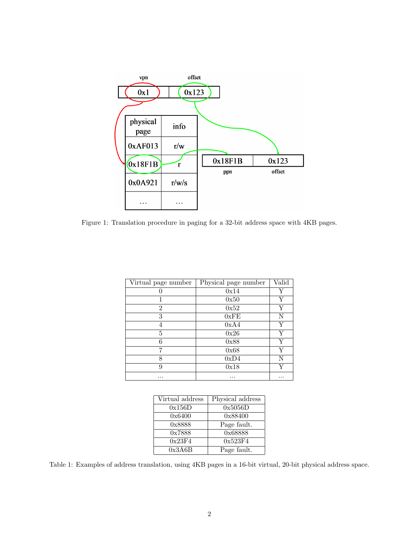

Figure 1: Translation procedure in paging for a 32-bit address space with 4KB pages.

| Virtual page number | Physical page number | Valid |
|---------------------|----------------------|-------|
|                     | 0x14                 | Y     |
|                     | 0x50                 | Y     |
| $\overline{2}$      | 0x52                 | Y     |
| 3                   | 0xFE                 | N     |
| 4                   | 0xA4                 | Y     |
| 5                   | 0x26                 | Y     |
| 6                   | 0x88                 | Y     |
| 7                   | 0x68                 | Y     |
| 8                   | 0xD4                 | N     |
| 9                   | 0x18                 | V     |
| .                   |                      |       |

| Virtual address | Physical address |
|-----------------|------------------|
| 0x156D          | 0x5056D          |
| 0x6400          | 0x88400          |
| 0x8888          | Page fault.      |
| 0x7888          | 0x68888          |
| 0x23F4          | 0x523F4          |
| 0x3A6B          | Page fault.      |

Table 1: Examples of address translation, using 4KB pages in a 16-bit virtual, 20-bit physical address space.